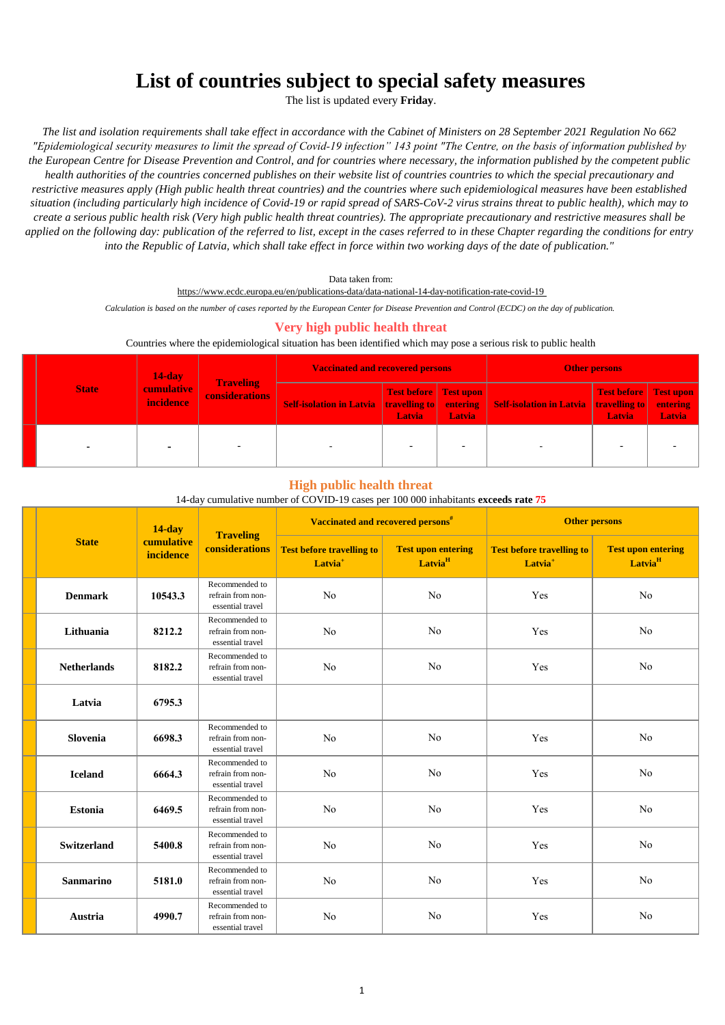# **List of countries subject to special safety measures**

The list is updated every **Friday**.

*The list and isolation requirements shall take effect in accordance with the Cabinet of Ministers on 28 September 2021 Regulation No 662 "Epidemiological security measures to limit the spread of Covid-19 infection" 143 point "The Centre, on the basis of information published by the European Centre for Disease Prevention and Control, and for countries where necessary, the information published by the competent public health authorities of the countries concerned publishes on their website list of countries countries to which the special precautionary and restrictive measures apply (High public health threat countries) and the countries where such epidemiological measures have been established situation (including particularly high incidence of Covid-19 or rapid spread of SARS-CoV-2 virus strains threat to public health), which may to create a serious public health risk (Very high public health threat countries). The appropriate precautionary and restrictive measures shall be applied on the following day: publication of the referred to list, except in the cases referred to in these Chapter regarding the conditions for entry into the Republic of Latvia, which shall take effect in force within two working days of the date of publication."*

Data taken from:

https://www.ecdc.europa.eu/en/publications-data/data-national-14-day-notification-rate-covid-19

*Calculation is based on the number of cases reported by the European Center for Disease Prevention and Control (ECDC) on the day of publication.* 

## **Very high public health threat**

#### Countries where the epidemiological situation has been identified which may pose a serious risk to public health

| <b>State</b> | $14$ -day                             | <b>Traveling</b>      | <b>Vaccinated and recovered persons</b>                |                                               | <b>Other persons</b> |                                                        |                                 |        |
|--------------|---------------------------------------|-----------------------|--------------------------------------------------------|-----------------------------------------------|----------------------|--------------------------------------------------------|---------------------------------|--------|
|              | <b>cumulative</b><br><i>incidence</i> | <b>considerations</b> | <b>Self-isolation in Latvia travelling to entering</b> | <b>Test before</b> Test upon<br><b>Latvia</b> | <b>Latvia</b>        | <b>Self-isolation in Latvia travelling to entering</b> | Test before Test upon<br>Latvia | Latvia |
|              |                                       |                       |                                                        |                                               |                      |                                                        |                                 |        |

### **High public health threat**

#### 14-day cumulative number of COVID-19 cases per 100 000 inhabitants **exceeds rate 75**

|                    | $14$ -day               |                                                         | Vaccinated and recovered persons <sup>#</sup>           |                                                  | <b>Other persons</b>                                    |                                                  |
|--------------------|-------------------------|---------------------------------------------------------|---------------------------------------------------------|--------------------------------------------------|---------------------------------------------------------|--------------------------------------------------|
| <b>State</b>       | cumulative<br>incidence | <b>Traveling</b><br>considerations                      | <b>Test before travelling to</b><br>Latvia <sup>+</sup> | <b>Test upon entering</b><br>Latvia <sup>H</sup> | <b>Test before travelling to</b><br>Latvia <sup>+</sup> | <b>Test upon entering</b><br>Latvia <sup>H</sup> |
| <b>Denmark</b>     | 10543.3                 | Recommended to<br>refrain from non-<br>essential travel | No                                                      | N <sub>o</sub>                                   | Yes                                                     | No                                               |
| Lithuania          | 8212.2                  | Recommended to<br>refrain from non-<br>essential travel | N <sub>o</sub>                                          | N <sub>o</sub>                                   | Yes                                                     | No                                               |
| <b>Netherlands</b> | 8182.2                  | Recommended to<br>refrain from non-<br>essential travel | No                                                      | N <sub>o</sub>                                   | Yes                                                     | No                                               |
| Latvia             | 6795.3                  |                                                         |                                                         |                                                  |                                                         |                                                  |
| Slovenia           | 6698.3                  | Recommended to<br>refrain from non-<br>essential travel | N <sub>o</sub>                                          | No                                               | Yes                                                     | No                                               |
| <b>Iceland</b>     | 6664.3                  | Recommended to<br>refrain from non-<br>essential travel | N <sub>o</sub>                                          | N <sub>o</sub>                                   | Yes                                                     | No                                               |
| <b>Estonia</b>     | 6469.5                  | Recommended to<br>refrain from non-<br>essential travel | No                                                      | N <sub>o</sub>                                   | Yes                                                     | No                                               |
| <b>Switzerland</b> | 5400.8                  | Recommended to<br>refrain from non-<br>essential travel | No                                                      | N <sub>o</sub>                                   | Yes                                                     | No                                               |
| <b>Sanmarino</b>   | 5181.0                  | Recommended to<br>refrain from non-<br>essential travel | N <sub>o</sub>                                          | No                                               | Yes                                                     | No                                               |
| Austria            | 4990.7                  | Recommended to<br>refrain from non-<br>essential travel | No                                                      | No                                               | Yes                                                     | No                                               |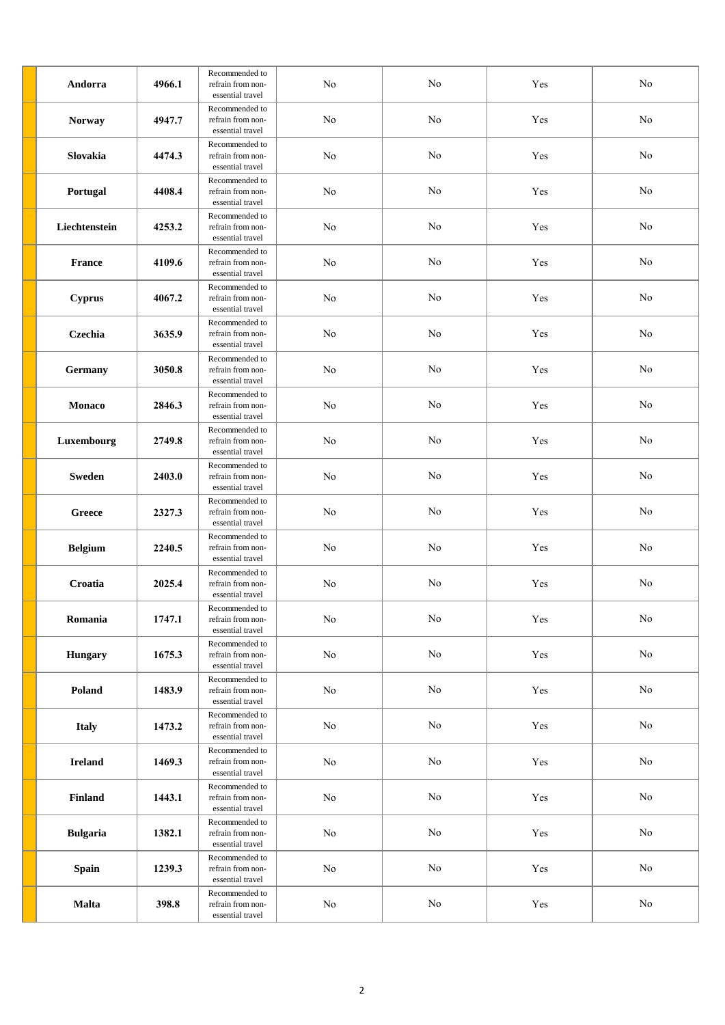| Andorra         | 4966.1 | Recommended to<br>refrain from non-<br>essential travel | No       | No       | Yes | No       |
|-----------------|--------|---------------------------------------------------------|----------|----------|-----|----------|
| <b>Norway</b>   | 4947.7 | Recommended to<br>refrain from non-<br>essential travel | No       | No       | Yes | No       |
| Slovakia        | 4474.3 | Recommended to<br>refrain from non-<br>essential travel | No       | No       | Yes | No       |
| Portugal        | 4408.4 | Recommended to<br>refrain from non-<br>essential travel | No       | No       | Yes | No       |
| Liechtenstein   | 4253.2 | Recommended to<br>refrain from non-<br>essential travel | No       | No       | Yes | No       |
| <b>France</b>   | 4109.6 | Recommended to<br>refrain from non-<br>essential travel | No       | No       | Yes | No       |
| <b>Cyprus</b>   | 4067.2 | Recommended to<br>refrain from non-<br>essential travel | No       | $\rm No$ | Yes | No       |
| Czechia         | 3635.9 | Recommended to<br>refrain from non-<br>essential travel | No       | No       | Yes | No       |
| Germany         | 3050.8 | Recommended to<br>refrain from non-<br>essential travel | No       | No       | Yes | No       |
| <b>Monaco</b>   | 2846.3 | Recommended to<br>refrain from non-<br>essential travel | No       | No       | Yes | No       |
| Luxembourg      | 2749.8 | Recommended to<br>refrain from non-<br>essential travel | No       | No       | Yes | $\rm No$ |
| <b>Sweden</b>   | 2403.0 | Recommended to<br>refrain from non-<br>essential travel | No       | No       | Yes | No       |
| Greece          | 2327.3 | Recommended to<br>refrain from non-<br>essential travel | No       | No       | Yes | $\rm No$ |
| <b>Belgium</b>  | 2240.5 | Recommended to<br>refrain from non-<br>essential travel | No       | No       | Yes | No       |
| Croatia         | 2025.4 | Recommended to<br>refrain from non-<br>essential travel | No       | No       | Yes | No       |
| Romania         | 1747.1 | Recommended to<br>refrain from non-<br>essential travel | $\rm No$ | $\rm No$ | Yes | $\rm No$ |
| Hungary         | 1675.3 | Recommended to<br>refrain from non-<br>essential travel | $\rm No$ | $\rm No$ | Yes | $\rm No$ |
| Poland          | 1483.9 | Recommended to<br>refrain from non-<br>essential travel | $\rm No$ | $\rm No$ | Yes | $\rm No$ |
| <b>Italy</b>    | 1473.2 | Recommended to<br>refrain from non-<br>essential travel | No       | No       | Yes | $\rm No$ |
| <b>Ireland</b>  | 1469.3 | Recommended to<br>refrain from non-<br>essential travel | $\rm No$ | $\rm No$ | Yes | $\rm No$ |
| Finland         | 1443.1 | Recommended to<br>refrain from non-<br>essential travel | $\rm No$ | $\rm No$ | Yes | $\rm No$ |
| <b>Bulgaria</b> | 1382.1 | Recommended to<br>refrain from non-<br>essential travel | $\rm No$ | $\rm No$ | Yes | $\rm No$ |
| <b>Spain</b>    | 1239.3 | Recommended to<br>refrain from non-<br>essential travel | No       | $\rm No$ | Yes | $\rm No$ |
| <b>Malta</b>    | 398.8  | Recommended to<br>refrain from non-<br>essential travel | $\rm No$ | $\rm No$ | Yes | $\rm No$ |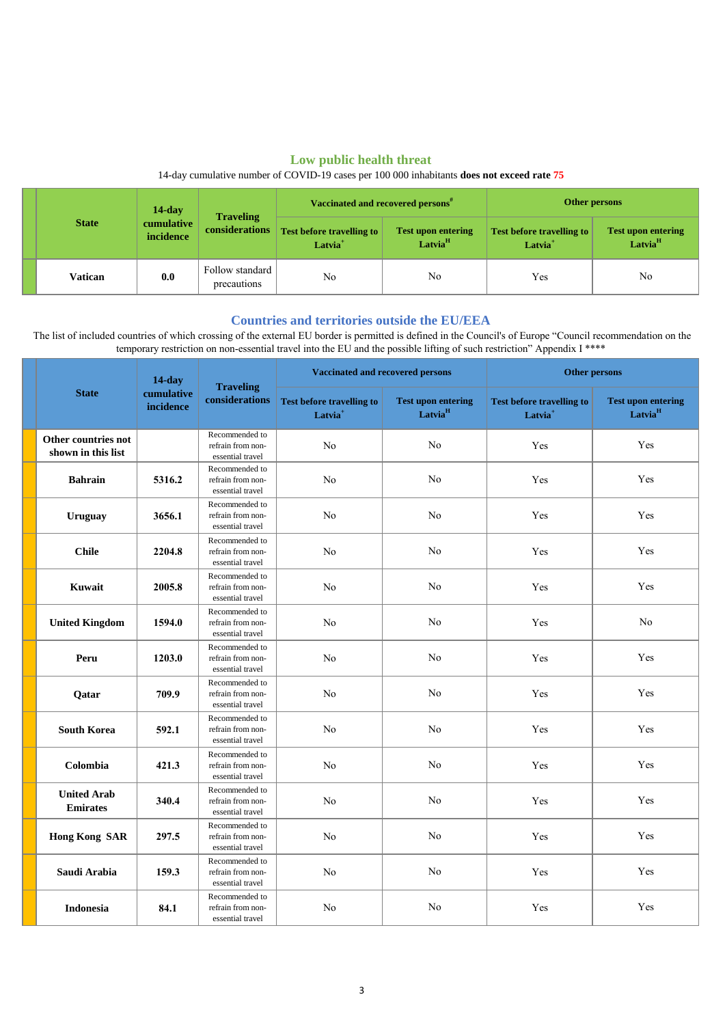# **Low public health threat**

## 14-day cumulative number of COVID-19 cases per 100 000 inhabitants **does not exceed rate 75**

|  | <b>State</b> | $14$ -day               |                                           | Vaccinated and recovered persons <sup>#</sup>             |                                                  | Other persons                                           |                                                  |
|--|--------------|-------------------------|-------------------------------------------|-----------------------------------------------------------|--------------------------------------------------|---------------------------------------------------------|--------------------------------------------------|
|  |              | cumulative<br>incidence | <b>Traveling</b><br><b>considerations</b> | <b>Test before travelling to  </b><br>Latvia <sup>+</sup> | <b>Test upon entering</b><br>Latvia <sup>H</sup> | <b>Test before travelling to</b><br>Latvia <sup>+</sup> | <b>Test upon entering</b><br>Latvia <sup>H</sup> |
|  | Vatican      | 0.0                     | Follow standard<br>precautions            | No                                                        | No                                               | Yes                                                     | No                                               |

## **Countries and territories outside the EU/EEA**

 The list of included countries of which crossing of the external EU border is permitted is defined in the Council's of Europe "Council recommendation on the temporary restriction on non-essential travel into the EU and the possible lifting of such restriction" Appendix I \*\*\*\*

|                                           | $14$ -day               |                                                         | <b>Vaccinated and recovered persons</b>                 |                                                  | <b>Other persons</b>                                    |                                                  |
|-------------------------------------------|-------------------------|---------------------------------------------------------|---------------------------------------------------------|--------------------------------------------------|---------------------------------------------------------|--------------------------------------------------|
| <b>State</b>                              | cumulative<br>incidence | <b>Traveling</b><br>considerations                      | <b>Test before travelling to</b><br>Latvia <sup>+</sup> | <b>Test upon entering</b><br>Latvia <sup>H</sup> | <b>Test before travelling to</b><br>Latvia <sup>+</sup> | <b>Test upon entering</b><br>Latvia <sup>H</sup> |
| Other countries not<br>shown in this list |                         | Recommended to<br>refrain from non-<br>essential travel | No                                                      | No                                               | Yes                                                     | Yes                                              |
| <b>Bahrain</b>                            | 5316.2                  | Recommended to<br>refrain from non-<br>essential travel | N <sub>o</sub>                                          | No                                               | Yes                                                     | Yes                                              |
| <b>Uruguay</b>                            | 3656.1                  | Recommended to<br>refrain from non-<br>essential travel | No                                                      | $\rm No$                                         | Yes                                                     | Yes                                              |
| <b>Chile</b>                              | 2204.8                  | Recommended to<br>refrain from non-<br>essential travel | N <sub>o</sub>                                          | No                                               | Yes                                                     | Yes                                              |
| Kuwait                                    | 2005.8                  | Recommended to<br>refrain from non-<br>essential travel | N <sub>o</sub>                                          | $\rm No$                                         | Yes                                                     | Yes                                              |
| <b>United Kingdom</b>                     | 1594.0                  | Recommended to<br>refrain from non-<br>essential travel | N <sub>0</sub>                                          | No                                               | Yes                                                     | No                                               |
| Peru                                      | 1203.0                  | Recommended to<br>refrain from non-<br>essential travel | N <sub>o</sub>                                          | No                                               | Yes                                                     | Yes                                              |
| Qatar                                     | 709.9                   | Recommended to<br>refrain from non-<br>essential travel | N <sub>o</sub>                                          | $\rm No$                                         | Yes                                                     | Yes                                              |
| <b>South Korea</b>                        | 592.1                   | Recommended to<br>refrain from non-<br>essential travel | N <sub>o</sub>                                          | No                                               | Yes                                                     | Yes                                              |
| Colombia                                  | 421.3                   | Recommended to<br>refrain from non-<br>essential travel | No                                                      | N <sub>o</sub>                                   | Yes                                                     | Yes                                              |
| <b>United Arab</b><br><b>Emirates</b>     | 340.4                   | Recommended to<br>refrain from non-<br>essential travel | No                                                      | $\rm No$                                         | Yes                                                     | Yes                                              |
| <b>Hong Kong SAR</b>                      | 297.5                   | Recommended to<br>refrain from non-<br>essential travel | N <sub>o</sub>                                          | No                                               | Yes                                                     | Yes                                              |
| Saudi Arabia                              | 159.3                   | Recommended to<br>refrain from non-<br>essential travel | N <sub>o</sub>                                          | $\rm No$                                         | Yes                                                     | Yes                                              |
| <b>Indonesia</b>                          | 84.1                    | Recommended to<br>refrain from non-<br>essential travel | N <sub>o</sub>                                          | No                                               | Yes                                                     | Yes                                              |